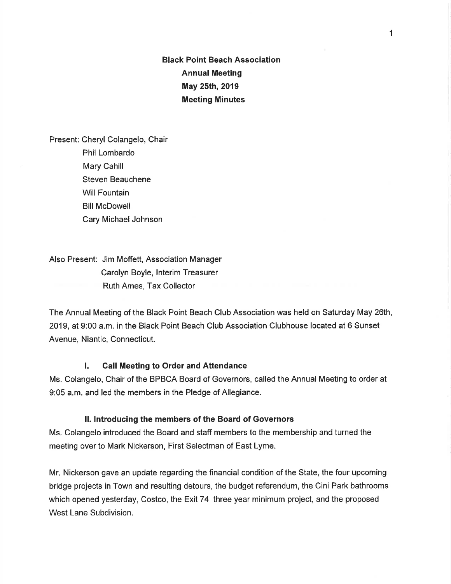Black Point Beach Association Annual Meeting May 25th, 2019 Meeting Minutes

Present: Cheryl Colangelo, Chair Phil Lombardo Mary Cahill Steven Beauchene Will Fountain Bill McDowell Cary Michael Johnson

Also Present: Jim Moffett, Association Manager Carolyn Boyle, lnterim Treasurer Ruth Ames, Tax Collector

The Annual Meeting of the Black Point Beach Club Association was held on Saturday May 26th, 2019, at 9:00 a.m. in the Black Point Beach Club Association Clubhouse located at 6 Sunset Avenue, Niantic, Connecticut.

#### l. Gall Meeting to Order and Attendance

Ms. Colangelo, Chair of the BPBCA Board of Governors, called the Annual Meeting to order at 9:05 a.m. and led the members in the Pledge of Allegiance.

#### ll. lntroducing the members of the Board of Governors

Ms. Colangelo introduced the Board and staff members to the membership and turned the meeting over to Mark Nickerson, First Selectman of East Lyme.

Mr. Nickerson gave an update regarding the financial condition of the State, the four upcoming bridge projects in Town and resulting detours, the budget referendum, the Cini Park bathrooms which opened yesterday, Costco, the Exit 74 three year minimum project, and the proposed West Lane Subdivision.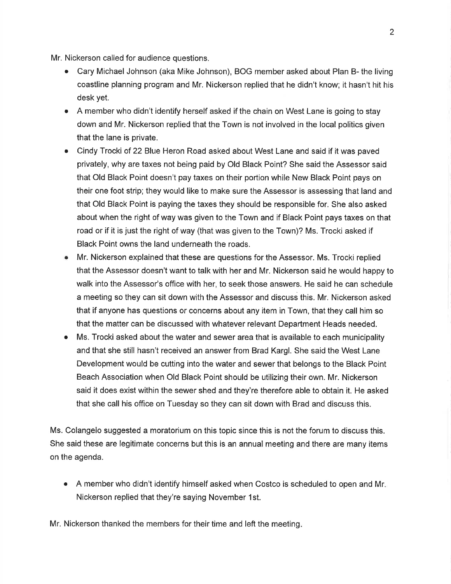Mr. Nickerson called for audience questions.

- o Cary Michael Johnson (aka Mike Johnson), BOG member asked about Plan B- the living coastline planning program and Mr. Nickerson replied that he didn't know; it hasn't hit his desk yet.
- A member who didn't identify herself asked if the chain on West Lane is going to stay down and Mr. Nickerson replied that the Town is not involved in the local politics given that the lane is private.
- Cindy Trocki of 22 Blue Heron Road asked about West Lane and said if it was paved privately, why are taxes not being paid by Old Black Point? She said the Assessor said that Old Black Point doesn't pay taxes on their portion while New Black Point pays on their one foot strip; they would like to make sure the Assessor is assessing that land and that Old Black Point is paying the taxes they should be responsible for. She also asked about when the right of way was given to the Town and if Black Point pays taxes on that road or if it is just the right of way (that was given to the Town)? Ms. Trocki asked if Black Point owns the land underneath the roads.
- Mr. Nickerson explained that these are questions for the Assessor. Ms. Trocki replied that the Assessor doesn't want to talk with her and Mr. Nickerson said he would happy to walk into the Assessor's office with her, to seek those answers. He said he can schedule a meeting so they can sit down with the Assessor and discuss this. Mr. Nickerson asked that if anyone has questions or concerns about any item in Town, that they call him so that the matter can be discussed with whatever relevant Department Heads needed.
- Ms. Trocki asked about the water and sewer area that is available to each municipality and that she still hasn't received an answer from Brad Kargl. She said the West Lane Development would be cutting into the water and sewer that belongs to the Black Point Beach Association when Old Black Point should be utilizing their own. Mr. Nickerson said it does exist within the sewer shed and they're therefore able to obtain it. He asked that she call his office on Tuesday so they can sit down with Brad and discuss this.

Ms. Colangelo suggested a moratorium on this topic since this is not the forum to discuss this. She said these are legitimate concerns but this is an annual meeting and there are many items on the agenda.

A member who didn't identify himself asked when Costco is scheduled to open and Mr a Nickerson replied that they're saying November 1st.

Mr. Nickerson thanked the members for their time and left the meeting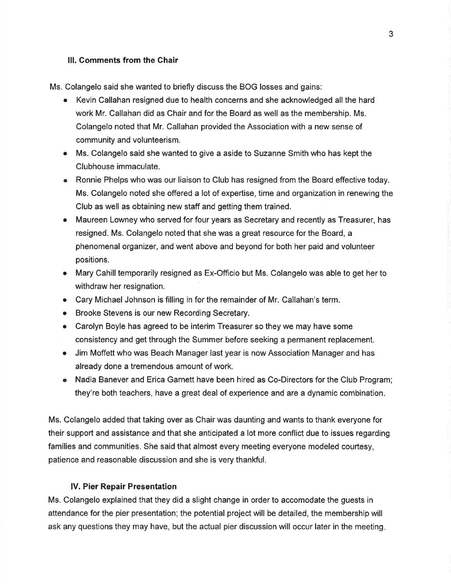### lll. Comments from the Ghair

Ms. Colangelo said she wanted to briefly discuss the BOG losses and gains:

- o Kevin Callahan resigned due to health concerns and she acknowledged all the hard work Mr. Callahan did as Chair and for the Board as well as the membership. Ms. Colangelo noted that Mr. Callahan provided the Association with a new sense of community and volunteerism.
- o Ms. Colangelo said she wanted to give a aside to Suzanne Smith who has kept the Clubhouse immaculate.
- o Ronnie Phelps who was our liaison to Club has resigned from the Board effective today. Ms. Colangelo noted she offered a lot of expertise, time and organization in renewing the Club as well as obtaining new staff and getting them trained.
- Maureen Lowney who served for four years as Secretary and recently as Treasurer, has resigned. Ms. Colangelo noted that she was a great resource for the Board, a phenomenal organizer, and went above and beyond for both her paid and volunteer positions.
- Mary Cahill temporarily resigned as Ex-Officio but Ms. Colangelo was able to get her to withdraw her resignation.
- o Cary Michael Johnson is filling in for the remainder of Mr. Callahan's term.
- Brooke Stevens is our new Recording Secretary.
- Carolyn Boyle has agreed to be interim Treasurer so they we may have some consistency and get through the Summer before seeking a permanent replacement.
- Jim Moffett who was Beach Manager last year is now Association Manager and has already done a tremendous amount of work.
- o Nadia Banever and Erica Garnett have been hired as Co-Directors for the Club Program; they're both teachers, have a great deal of experience and are a dynamic combination.

Ms. Colangelo added that taking over as Chair was daunting and wants to thank everyone for their support and assistance and that she anticipated a lot more conflict due to issues regarding families and communities. She said that almost every meeting everyone modeled courtesy, patience and reasonable discussion and she is very thankful.

### lV. Pier Repair Presentation

Ms. Colangelo explained that they did a slight change in order to accomodate the guests in attendance for the pier presentation; the potential project will be detailed, the membership will ask any questions they may have, but the actual pier discussion will occur later in the meeting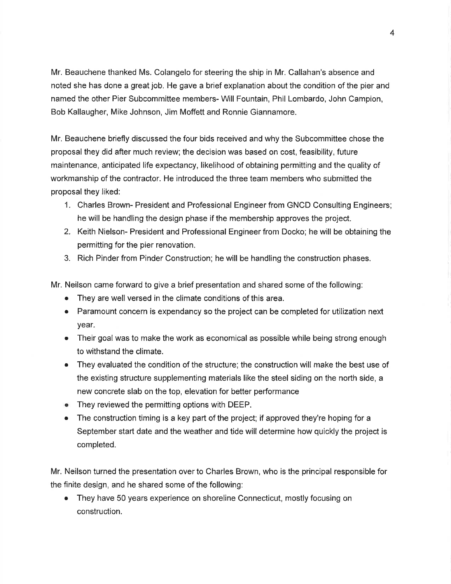Mr. Beauchene thanked Ms. Colangelo for steering the ship in Mr. Callahan's absence and noted she has done a great job. He gave a brief explanation about the condition of the pier and named the other Pier Subcommittee members- Will Fountain, Phil Lombardo, John Campion, Bob Kallaugher, Mike Johnson, Jim Moffett and Ronnie Giannamore.

Mr. Beauchene briefly discussed the four bids received and why the Subcommittee chose the proposal they did after much review; the decision was based on cost, feasibility, future maintenance, anticipated life expectancy, likelihood of obtaining permitting and the quality of workmanship of the contractor. He introduced the three team members who submitted the proposal they liked:

- 1. Charles Brown- President and Professional Engineer from GNCD Consulting Engineers; he will be handling the design phase if the membership approves the project.
- 2. Keith Nielson- President and Professional Engineer from Docko; he will be obtaining the permitting for the pier renovation.
- 3. Rich Pinder from Pinder Construction; he will be handling the construction phases.

Mr. Neilson came forward to give a brief presentation and shared some of the following:

- They are well versed in the climate conditions of this area.
- o Paramount concern is expendancy so the project can be completed for utilization next year.
- Their goal was to make the work as economical as possible while being strong enough to withstand the climate.
- o They evaluated the condition of the structure; the construction will make the best use of the existing structure supplementing materials like the steel siding on the north side, a new concrete slab on the top, elevation for better performance
- o They reviewed the permitting options with DEEP.
- The construction timing is a key part of the project; if approved they're hoping for a September start date and the weather and tide will determine how quickly the project is completed.

Mr. Neilson turned the presentation over to Charles Brown, who is the principal responsible for the finite design, and he shared some of the following:

o They have 50 years experience on shoreline Connecticut, mostly focusing on construction.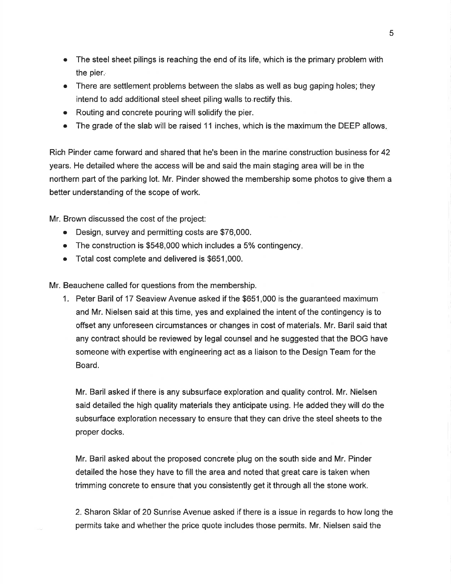- o The steel sheet pilings is reaching the end of its life, which is the primary problem with the pier..
- There are settlement problems between the slabs as well as bug gaping holes; they intend to add additional steel sheet piling walls to.rectify this.
- Routing and concrete pouring will solidify the pier.
- The grade of the slab will be raised 11 inches, which is the maximum the DEEP allows.

Rich Pinder came forward and shared that he's been in the marine construction business for 42 years. He detailed where the access will be and said the main staging area will be in the northern part of the parking lot. Mr. Pinder showed the membership some photos to give them a better understanding of the scope of work.

Mr. Brown discussed the cost of the project:

- o Design, suruey and permitting costs are \$76,000.
- $\bullet$  The construction is \$548,000 which includes a 5% contingency.
- o Total cost complete and delivered is \$651,000.

Mr. Beauchene called for questions from the membership.

1. Peter Baril of 17 Seaview Avenue asked if the \$651 ,000 is the guaranteed maximum and Mr. Nielsen said at this time, yes and explained the intent of the contingency is to offset any unforeseen circumstances or changes in cost of materials. Mr. Baril said that any contract should be reviewed by legal counsel and he suggested that the BOG have someone with expertise with engineering act as a liaison to the Design Team for the Board.

Mr. Baril asked if there is any subsurface exploration and quality control. Mr. Nielsen said detailed the high quality materials they anticipate using. He added they will do the subsurface exploration necessary to ensure that they can drive the steel sheets to the proper docks.

Mr. Baril asked about the proposed concrete plug on the south side and Mr. Pinder detailed the hose they have to fill the area and noted that great care is taken when trimming concrete to ensure that you consistently get it through all the stone work.

2. Sharon Sklar of 20 Sunrise Avenue asked if there is a issue in regards to how long the permits take and whether the price quote includes those permits. Mr. Nielsen said the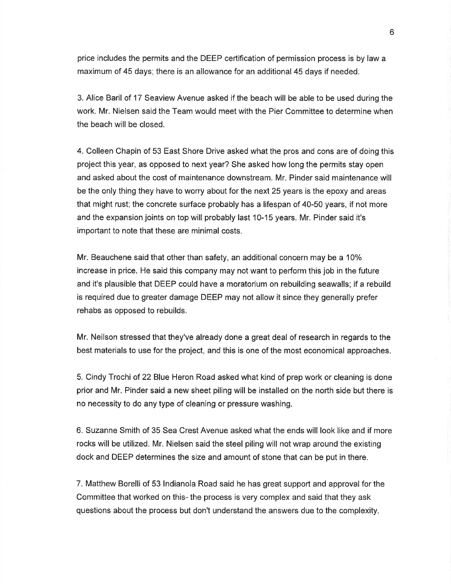price includes the permits and the DEEP certification of permission process is by law a maximum of 45 days; there is an allowance for an additional 45 days if needed.

3. Alice Baril of 17 Seaview Avenue asked if the beach will be able to be used during the work. Mr. Nielsen said the Team would meet with the Pier Committee to determine when the beach will be closed.

4. Colleen Chapin of 53 East Shore Drive asked what the pros and cons are of doing this project this year, as opposed to next year? She asked how long the permits stay open and asked about the cost of maintenance downstream. Mr. Pinder said maintenance will be the only thing they have to worry about for the next 25 years is the epoxy and areas that might rust; the concrete surface probably has a lifespan of 40-50 years, if not more and the expansion joints on top will probably last 10-15 years. Mr. Pinder said it's important to note that these are minimal costs.

Mr. Beauchene said that other than safety, an additional concern may be a 10% increase in price. He said this company may not want to perform this job in the future and it's plausible that DEEP could have a moratorium on rebuilding seawalls; if a rebuild is required due to greater damage DEEP may not allow it since they generally prefer rehabs as opposed to rebuilds.

Mr. Neilson stressed that they've already done a great deal of research in regards to the best materials to use for the project, and this is one of the most economical approaches.

5. Cindy Trochi of 22 Blue Heron Road asked what kind of prep work or cleaning is done prior and Mr. Pinder said a new sheet piling will be installed on the north side but there is no necessity to do any type of cleaning or pressure washing.

6. Suzanne Smith of 35 Sea Crest Avenue asked what the ends will look like and if more rocks will be utilized. Mr. Nielsen said the steel piling will not wrap around the existing dock and DEEP determines the size and amount of stone that can be put in there.

7. Matthew Borelli of 53 lndianola Road said he has great support and approval for the Committee that worked on this- the process is very complex and said that they ask questions about the process but don't understand the answers due to the complexity.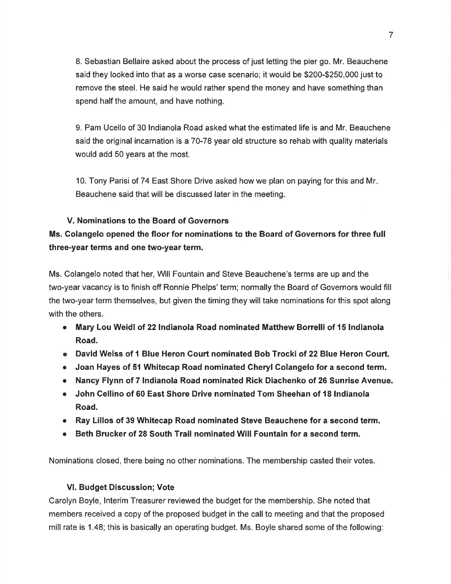8. Sebastian Bellaire asked about the process of just letting the pier go. Mr. Beauchene said they looked into that as a worse case scenario; it would be \$200-\$250,000 just to remove the steel. He said he would rather spend the money and have something than spend half the amount, and have nothing.

9. Pam Ucello of 30 lndianola Road asked what the estimated life is and Mr. Beauchene said the original incarnation is a 70-78 year old structure so rehab with quality materials would add 50 years at the most.

10. Tony Parisi of 74 East Shore Drive asked how we plan on paying for this and Mr Beauchene said that will be discussed later in the meeting.

### V. Nominations to the Board of Governors

Ms. Golangelo opened the floor for nominations to the Board of Governors for three full three-year terms and one two-year term,

Ms. Colangelo noted that her, Will Fountain and Steve Beauchene's terms are up and the two-year vacancy is to finish off Ronnie Phelps' term; normally the Board of Governors would fill the two-year term themselves, but given the timing they will take nominations for this spot along with the others.

- Mary Lou Weidl of 22 Indianola Road nominated Matthew Borrelli of 15 Indianola Road.
- o David Weiss of 1 Blue Heron Gourt nominated Bob Trocki of 22 Blue Heron Court.
- Joan Hayes of 51 Whitecap Road nominated Cheryl Colangelo for a second term.
- o Nancy Flynn of 7 lndianola Road nominated Rick Diachenko of 26 Sunrise Avenue.
- John Cellino of 60 East Shore Drive nominated Tom Sheehan of 18 Indianola Road.
- o Ray Lillos of 39 Whitecap Road nominated Steve Beauchene for a second term.
- Beth Brucker of 28 South Trail nominated Will Fountain for a second term.

Nominations closed, there being no other nominations. The membership casted their votes.

## Vl. Budget Discussion; Vote

Carolyn Boyle, Interim Treasurer reviewed the budget for the membership. She noted that members received a copy of the proposed budget in the call to meeting and that the proposed mill rate is 1.48; this is basically an operating budget. Ms. Boyle shared some of the following: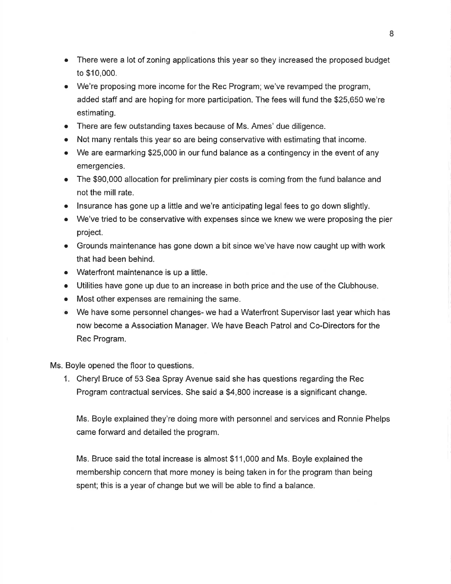- . There were a lot of zoning applications this year so they increased the proposed budget to \$10,000.
- We're proposing more income for the Rec Program; we've revamped the program, added staff and are hoping for more participation. The fees will fund the \$25,650 we're estimating.
- There are few outstanding taxes because of Ms. Ames' due diligence.
- Not many rentals this year so are being conservative with estimating that income.
- We are earmarking \$25,000 in our fund balance as a contingency in the event of any emergencies.
- The \$90,000 allocation for preliminary pier costs is coming from the fund balance and not the mill rate.
- $\bullet$  lnsurance has gone up a little and we're anticipating legal fees to go down slightly.
- We've tried to be conservative with expenses since we knew we were proposing the pier project.
- Grounds maintenance has gone down a bit since we've have now caught up with work that had been behind.
- o Waterfront maintenance is up a little.
- o Utilities have gone up due to an increase in both price and the use of the Clubhouse.
- o Most other expenses are remaining the same.
- $\bullet$  We have some personnel changes- we had a Waterfront Supervisor last year which has now become a Association Manager. We have Beach Patrol and Co-Directors for the Rec Program.

Ms. Boyle opened the floor to questions.

1. Cheryl Bruce of 53 Sea Spray Avenue said she has questions regarding the Rec Program contractual services. She said a \$4,800 increase is a significant change.

Ms. Boyle explained they're doing more with personnel and services and Ronnie Phelps came forward and detailed the program.

Ms. Bruce said the total increase is almost \$11,000 and Ms. Boyle explained the membership concern that more money is being taken in for the program than being spent; this is a year of change but we will be able to find a balance.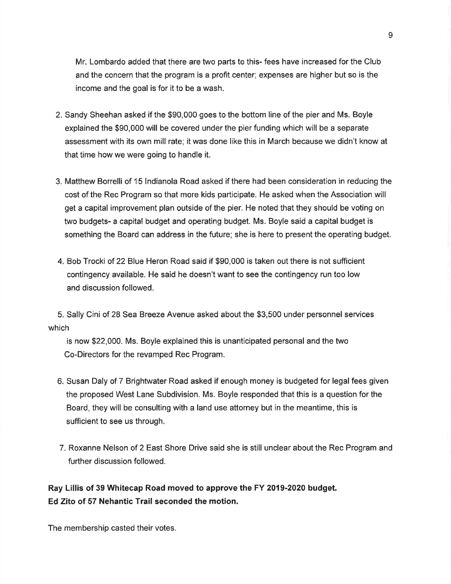Mr. Lombardo added that there are two parts to this- fees have increased for the Club and the concern that the program is a profit center; expenses are higher but so is the income and the goal is for it to be a wash.

- 2. Sandy Sheehan asked if the \$90,000 goes to the bottom line of the pier and Ms. Boyle explained the \$90,000 will be covered under the pier funding which will be a separate assessment with its own mill rate; it was done like this in March because we didn't know at that time how we were going to handle it.
- 3. Matthew Borrelli of 15 lndianola Road asked if there had been consideration in reducing the cost of the Rec Program so that more kids participate. He asked when the Association will get a capital improvement plan outside of the pier. He noted that they should be voting on two budgets- a capital budget and operating budget. Ms. Boyle said a capital budget is something the Board can address in the future; she is here to present the operating budget.
- 4. Bob Trocki of 22 Blue Heron Road said if \$90,000 is taken out there is not sufficient contingency available. He said he doesn't want to see the contingency run too low and discussion followed.

5. Sally Cini of 28 Sea Breeze Avenue asked about the \$3,500 under personnel services which

is now \$22,000. Ms. Boyle explained this is unanticipated personal and the two Co-Directors for the revamped Rec Program.

- 6. Susan Daly of 7 Brightwater Road asked if enough money is budgeted for legal fees given the proposed West Lane Subdivision. Ms. Boyle responded that this is a question for the Board, they will be consulting with a land use attorney but in the meantime, this is sufficient to see us through.
- 7. Roxanne Nelson of 2 East Shore Drive said she is still unclear about the Rec Program and further discussion followed.

Ray Lillis of 39 Whitecap Road moved to approve the FY 2019-2020 budget. Ed Zito of 57 Nehantic Trail seconded the motion.

The membership casted their votes.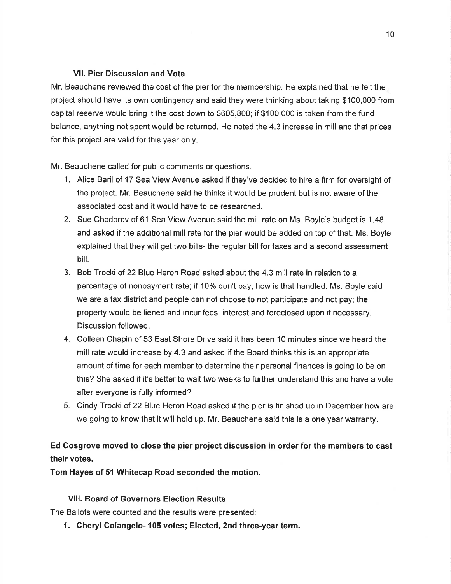## Vll. Pier Discussion and Vote

Mr. Beauchene reviewed the cost of the pier for the membership. He explained that he felt the project should have its own contingency and said they were thinking about taking \$100,000 from capital reserve would bring it the cost down to \$605,800; if \$100,000 is taken from the fund balance, anything not spent would be returned. He noted the 4.3 increase in mill and that prices for this project are valid for this year only.

Mr. Beauchene called for public comments or questions.

- 1. Alice Baril of 17 Sea View Avenue asked if they've decided to hire a firm for oversight of the project. Mr. Beauchene said he thinks it would be prudent but is not aware of the associated cost and it would have to be researched.
- 2. Sue Chodorov of 61 Sea View Avenue said the mill rate on Ms. Boyle's budget is 1.48 and asked if the additional mill rate for the pier would be added on top of that. Ms. Boyle explained that they will get two bills- the regular bill for taxes and a second assessment biil.
- 3. Bob Trocki of 22 Blue Heron Road asked about the 4.3 mill rate in relation to <sup>a</sup> percentage of nonpayment rate; if 10% don't pay, how is that handled. Ms. Boyle said we are a tax district and people can not choose to not participate and not pay; the property would be liened and incur fees, interest and foreclosed upon if necessary. Discussion followed.
- 4. Colleen Chapin of 53 East Shore Drive said it has been 10 minutes since we heard the mill rate would increase by 4.3 and asked if the Board thinks this is an appropriate amount of time for each member to determine their personal finances is going to be on this? She asked if it's better to wait two weeks to fufther understand this and have a vote after everyone is fully informed?
- 5. Cindy Trocki of 22 Blue Heron Road asked if the pier is finished up in December how are we going to know that it will hold up. Mr. Beauchene said this is a one year warranty.

# Ed Cosgrove moved to close the pier project discussion in order for the members to cast their votes.

Tom Hayes of 51 Whitecap Road seconded the motion.

# Vlll. Board of Governors Election Results

The Ballots were counted and the results were presented:

1. Gheryl Colangelo- 105 votes; Elected, 2nd three-year term.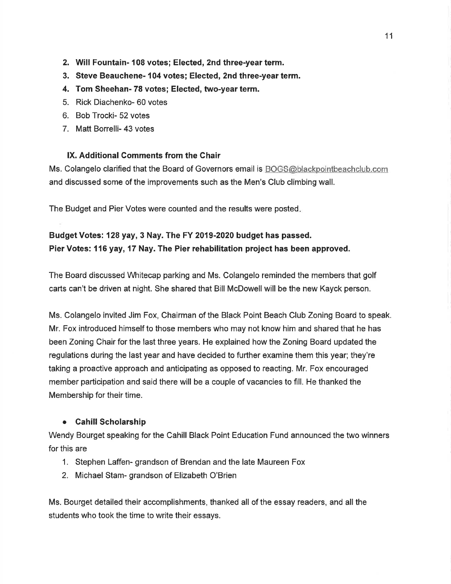- 2. Will Fountain- 108 votes; Elected, 2nd three-year term.
- 3. Steve Beauchene- 104 votes; Elected, 2nd three-year term.
- 4. Tom Sheehan- 78 votes; Elected, two-year term.
- 5. Rick Diachenko- 60 votes
- 6. Bob Trocki- 52 votes
- 7. Matt Borrelli- 43 votes

### lX. Additional Gomments from the Chair

Ms. Colangelo clarified that the Board of Governors email is BOGS@blackpointbeachclub.com and discussed some of the improvements such as the Men's Club climbing wall.

The Budget and Pier Votes were counted and the results were posted

# Budget Votes: 128 yay, 3 Nay. The FY 2019-2020 budget has passed. Pier Votes: 1 16 yay, 17 Nay. The Pier rehabilitation project has been approved.

The Board discussed Whitecap parking and Ms. Colangelo reminded the members that golf carts can't be driven at night. She shared that Bill McDowellwill be the new Kayck person.

Ms. Colangelo invited Jim Fox, Chairman of the Black Point Beach Club Zoning Board to speak. Mr. Fox introduced himself to those members who may not know him and shared that he has been Zoning Chair for the last three years. He explained how the Zoning Board updated the regulations during the last year and have decided to further examine them this year; they're taking a proactive approach and anticipating as opposed to reacting. Mr. Fox encouraged member participation and said there will be a couple of vacancies to fill. He thanked the Membership for their time.

## o Cahill Scholarship

Wendy Bourget speaking for the Cahill Black Point Education Fund announced the two winners for this are

- 1. Stephen Laffen- grandson of Brendan and the late Maureen Fox
- 2. Michael Stam- grandson of Elizabeth O'Brien

Ms. Bourget detailed their accomplishments, thanked all of the essay readers, and all the students who took the time to write their essays.